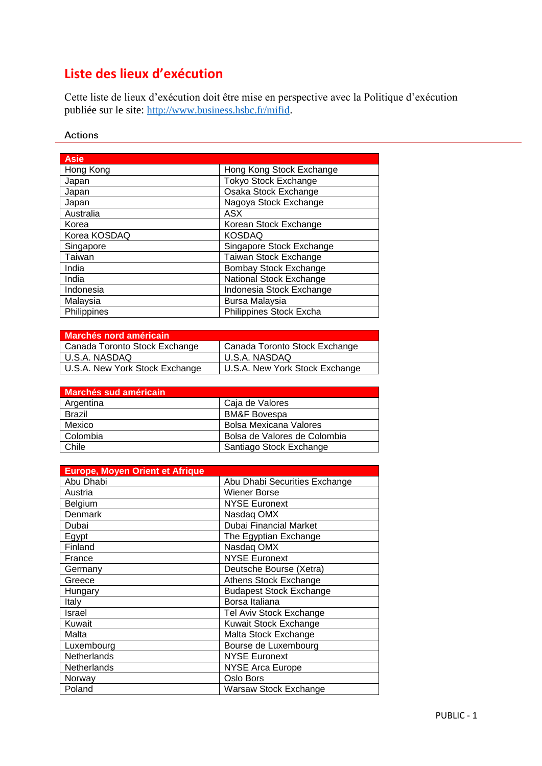# **Liste des lieux d'exécution**

Cette liste de lieux d'exécution doit être mise en perspective avec la Politique d'exécution publiée sur le site: <http://www.business.hsbc.fr/mifid>.

#### **Actions**

| <b>Asie</b>  |                              |
|--------------|------------------------------|
| Hong Kong    | Hong Kong Stock Exchange     |
| Japan        | <b>Tokyo Stock Exchange</b>  |
| Japan        | Osaka Stock Exchange         |
| Japan        | Nagoya Stock Exchange        |
| Australia    | ASX                          |
| Korea        | Korean Stock Exchange        |
| Korea KOSDAQ | <b>KOSDAQ</b>                |
| Singapore    | Singapore Stock Exchange     |
| Taiwan       | Taiwan Stock Exchange        |
| India        | <b>Bombay Stock Exchange</b> |
| India        | National Stock Exchange      |
| Indonesia    | Indonesia Stock Exchange     |
| Malaysia     | Bursa Malaysia               |
| Philippines  | Philippines Stock Excha      |

| Canada Toronto Stock Exchange  |
|--------------------------------|
|                                |
| U.S.A. New York Stock Exchange |
|                                |

| Marchés sud américain |                              |
|-----------------------|------------------------------|
| Argentina             | Caja de Valores              |
| <b>Brazil</b>         | <b>BM&amp;F Bovespa</b>      |
| Mexico                | Bolsa Mexicana Valores       |
| Colombia              | Bolsa de Valores de Colombia |
| Chile                 | Santiago Stock Exchange      |

| Europe, Moyen Orient et Afrique |                                |
|---------------------------------|--------------------------------|
| Abu Dhabi                       | Abu Dhabi Securities Exchange  |
| Austria                         | Wiener Borse                   |
| Belgium                         | <b>NYSE Euronext</b>           |
| <b>Denmark</b>                  | Nasdaq OMX                     |
| Dubai                           | <b>Dubai Financial Market</b>  |
| Egypt                           | The Egyptian Exchange          |
| Finland                         | Nasdag OMX                     |
| France                          | <b>NYSE Euronext</b>           |
| Germany                         | Deutsche Bourse (Xetra)        |
| Greece                          | Athens Stock Exchange          |
| Hungary                         | <b>Budapest Stock Exchange</b> |
| Italy                           | Borsa Italiana                 |
| Israel                          | Tel Aviv Stock Exchange        |
| Kuwait                          | Kuwait Stock Exchange          |
| Malta                           | Malta Stock Exchange           |
| Luxembourg                      | Bourse de Luxembourg           |
| Netherlands                     | <b>NYSE Euronext</b>           |
| Netherlands                     | <b>NYSE Arca Europe</b>        |
| Norway                          | Oslo Bors                      |
| Poland                          | Warsaw Stock Exchange          |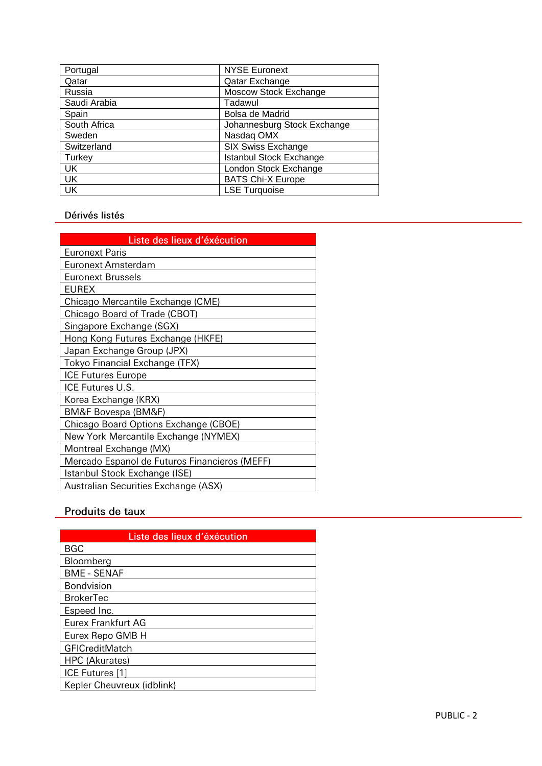| Portugal     | <b>NYSE Euronext</b>           |
|--------------|--------------------------------|
| Qatar        | Qatar Exchange                 |
| Russia       | Moscow Stock Exchange          |
| Saudi Arabia | Tadawul                        |
| Spain        | Bolsa de Madrid                |
| South Africa | Johannesburg Stock Exchange    |
| Sweden       | Nasdag OMX                     |
| Switzerland  | <b>SIX Swiss Exchange</b>      |
| Turkey       | <b>Istanbul Stock Exchange</b> |
| UK           | London Stock Exchange          |
| <b>UK</b>    | <b>BATS Chi-X Europe</b>       |
| <b>UK</b>    | <b>LSE Turquoise</b>           |

#### Dérivés listés

| Liste des lieux d'éxécution                   |  |  |
|-----------------------------------------------|--|--|
| <b>Euronext Paris</b>                         |  |  |
| Euronext Amsterdam                            |  |  |
| <b>Euronext Brussels</b>                      |  |  |
| <b>EUREX</b>                                  |  |  |
| Chicago Mercantile Exchange (CME)             |  |  |
| Chicago Board of Trade (CBOT)                 |  |  |
| Singapore Exchange (SGX)                      |  |  |
| Hong Kong Futures Exchange (HKFE)             |  |  |
| Japan Exchange Group (JPX)                    |  |  |
| Tokyo Financial Exchange (TFX)                |  |  |
| <b>ICE Futures Europe</b>                     |  |  |
| ICE Futures U.S.                              |  |  |
| Korea Exchange (KRX)                          |  |  |
| BM&F Bovespa (BM&F)                           |  |  |
| Chicago Board Options Exchange (CBOE)         |  |  |
| New York Mercantile Exchange (NYMEX)          |  |  |
| Montreal Exchange (MX)                        |  |  |
| Mercado Espanol de Futuros Financieros (MEFF) |  |  |
| Istanbul Stock Exchange (ISE)                 |  |  |
| Australian Securities Exchange (ASX)          |  |  |

## Produits de taux

| Liste des lieux d'éxécution |
|-----------------------------|
| <b>BGC</b>                  |
| Bloomberg                   |
| <b>BME - SENAF</b>          |
| Bondvision                  |
| <b>BrokerTec</b>            |
| Espeed Inc.                 |
| <b>Eurex Frankfurt AG</b>   |
| Eurex Repo GMB H            |
| <b>GFICreditMatch</b>       |
| HPC (Akurates)              |
| ICE Futures [1]             |
| Kepler Cheuvreux (idblink)  |